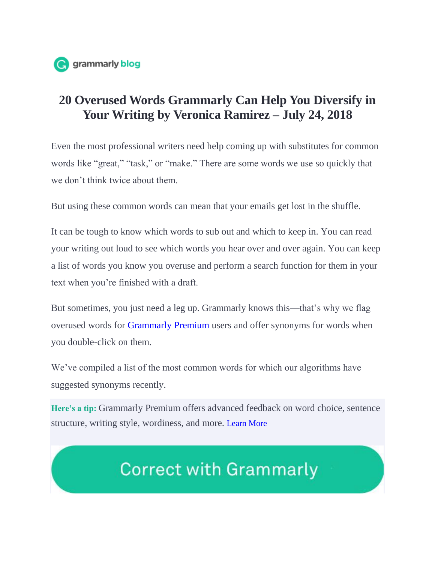

## **20 Overused Words Grammarly Can Help You Diversify in Your Writing by Veronica Ramirez – July 24, 2018**

Even the most professional writers need help coming up with substitutes for common words like "great," "task," or "make." There are some words we use so quickly that we don't think twice about them.

But using these common words can mean that your emails get lost in the shuffle.

It can be tough to know which words to sub out and which to keep in. You can read your writing out loud to see which words you hear over and over again. You can keep a list of words you know you overuse and perform a search function for them in your text when you're finished with a draft.

But sometimes, you just need a leg up. Grammarly knows this—that's why we flag overused words for Grammarly Premium users and offer synonyms for words when you double-click on them.

We've compiled a list of the most common words for which our algorithms have suggested synonyms recently.

**Here's a tip:** Grammarly Premium offers advanced feedback on word choice, sentence structure, writing style, wordiness, and more. Learn More

## **Correct with Grammarly**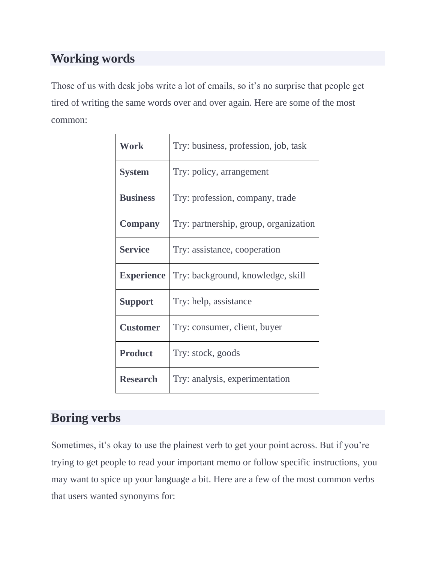## **Working words**

Those of us with desk jobs write a lot of emails, so it's no surprise that people get tired of writing the same words over and over again. Here are some of the most common:

| <b>Work</b>       | Try: business, profession, job, task  |
|-------------------|---------------------------------------|
| <b>System</b>     | Try: policy, arrangement              |
| <b>Business</b>   | Try: profession, company, trade       |
| <b>Company</b>    | Try: partnership, group, organization |
| <b>Service</b>    | Try: assistance, cooperation          |
| <b>Experience</b> | Try: background, knowledge, skill     |
| <b>Support</b>    | Try: help, assistance                 |
| <b>Customer</b>   | Try: consumer, client, buyer          |
| <b>Product</b>    | Try: stock, goods                     |
| <b>Research</b>   | Try: analysis, experimentation        |

## **Boring verbs**

Sometimes, it's okay to use the plainest verb to get your point across. But if you're trying to get people to read your important memo or follow specific instructions, you may want to spice up your language a bit. Here are a few of the most common verbs that users wanted synonyms for: